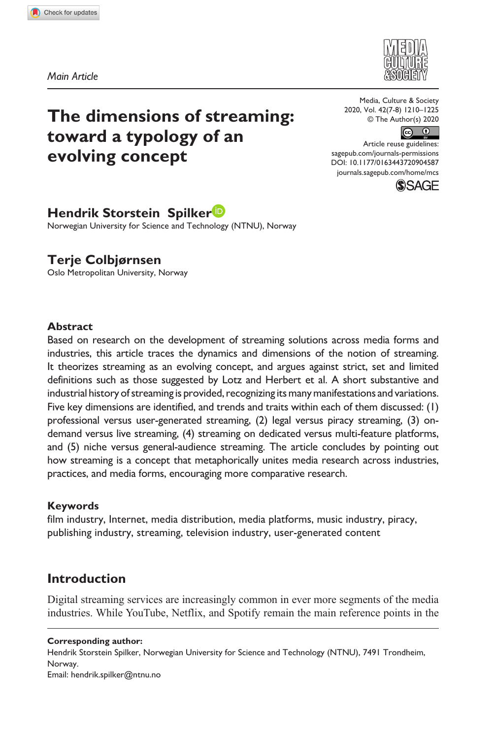**9045[87](http://crossmark.crossref.org/dialog/?doi=10.1177%2F0163443720904587&domain=pdf&date_stamp=2020-02-27)** MCS0010.1177/0163443720904587Media, Culture & Society**Spilker and Colbjørnsen**



*Main Article*

# **The dimensions of streaming: toward a typology of an evolving concept**

Media, Culture & Society 2020, Vol. 42(7-8) 1210–1225 © The Author(s) 2020



DOI: 10.1177/0163443720904587 Article reuse guidelines: [sagepub.com/journals-permissions](https://uk.sagepub.com/en-gb/journals-permissions) [journals.sagepub.com/home/mcs](https://journals.sagepub.com/home/mcs)



# **Hendrik Storstein Spilker**

Norwegian University for Science and Technology (NTNU), Norway

### **Terje Colbjørnsen**

Oslo Metropolitan University, Norway

#### **Abstract**

Based on research on the development of streaming solutions across media forms and industries, this article traces the dynamics and dimensions of the notion of streaming. It theorizes streaming as an evolving concept, and argues against strict, set and limited definitions such as those suggested by Lotz and Herbert et al. A short substantive and industrial history of streaming is provided, recognizing its many manifestations and variations. Five key dimensions are identified, and trends and traits within each of them discussed: (1) professional versus user-generated streaming, (2) legal versus piracy streaming, (3) ondemand versus live streaming, (4) streaming on dedicated versus multi-feature platforms, and (5) niche versus general-audience streaming. The article concludes by pointing out how streaming is a concept that metaphorically unites media research across industries, practices, and media forms, encouraging more comparative research.

### **Keywords**

film industry, Internet, media distribution, media platforms, music industry, piracy, publishing industry, streaming, television industry, user-generated content

### **Introduction**

Digital streaming services are increasingly common in ever more segments of the media industries. While YouTube, Netflix, and Spotify remain the main reference points in the

#### **Corresponding author:**

Hendrik Storstein Spilker, Norwegian University for Science and Technology (NTNU), 7491 Trondheim, Norway.

Email: [hendrik.spilker@ntnu.no](mailto:hendrik.spilker@ntnu.no)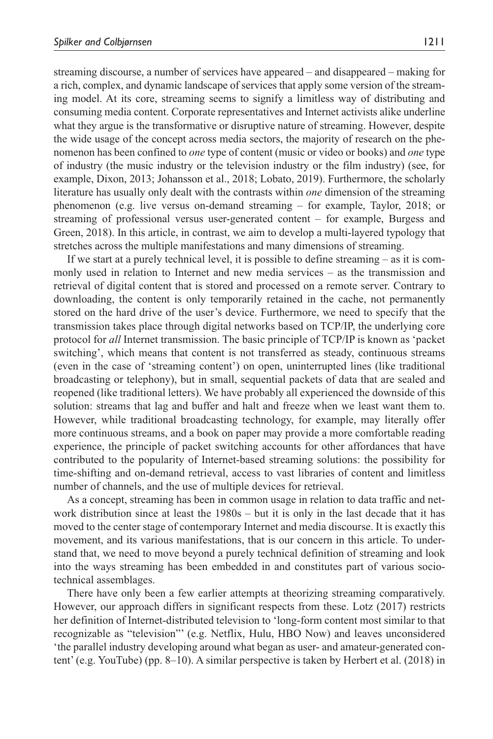streaming discourse, a number of services have appeared – and disappeared – making for a rich, complex, and dynamic landscape of services that apply some version of the streaming model. At its core, streaming seems to signify a limitless way of distributing and consuming media content. Corporate representatives and Internet activists alike underline what they argue is the transformative or disruptive nature of streaming. However, despite the wide usage of the concept across media sectors, the majority of research on the phenomenon has been confined to *one* type of content (music or video or books) and *one* type of industry (the music industry or the television industry or the film industry) (see, for example, Dixon, 2013; Johansson et al., 2018; Lobato, 2019). Furthermore, the scholarly literature has usually only dealt with the contrasts within *one* dimension of the streaming phenomenon (e.g. live versus on-demand streaming – for example, Taylor, 2018; or streaming of professional versus user-generated content – for example, Burgess and Green, 2018). In this article, in contrast, we aim to develop a multi-layered typology that stretches across the multiple manifestations and many dimensions of streaming.

If we start at a purely technical level, it is possible to define streaming – as it is commonly used in relation to Internet and new media services – as the transmission and retrieval of digital content that is stored and processed on a remote server. Contrary to downloading, the content is only temporarily retained in the cache, not permanently stored on the hard drive of the user's device. Furthermore, we need to specify that the transmission takes place through digital networks based on TCP/IP, the underlying core protocol for *all* Internet transmission. The basic principle of TCP/IP is known as 'packet switching', which means that content is not transferred as steady, continuous streams (even in the case of 'streaming content') on open, uninterrupted lines (like traditional broadcasting or telephony), but in small, sequential packets of data that are sealed and reopened (like traditional letters). We have probably all experienced the downside of this solution: streams that lag and buffer and halt and freeze when we least want them to. However, while traditional broadcasting technology, for example, may literally offer more continuous streams, and a book on paper may provide a more comfortable reading experience, the principle of packet switching accounts for other affordances that have contributed to the popularity of Internet-based streaming solutions: the possibility for time-shifting and on-demand retrieval, access to vast libraries of content and limitless number of channels, and the use of multiple devices for retrieval.

As a concept, streaming has been in common usage in relation to data traffic and network distribution since at least the 1980s – but it is only in the last decade that it has moved to the center stage of contemporary Internet and media discourse. It is exactly this movement, and its various manifestations, that is our concern in this article. To understand that, we need to move beyond a purely technical definition of streaming and look into the ways streaming has been embedded in and constitutes part of various sociotechnical assemblages.

There have only been a few earlier attempts at theorizing streaming comparatively. However, our approach differs in significant respects from these. Lotz (2017) restricts her definition of Internet-distributed television to 'long-form content most similar to that recognizable as "television"' (e.g. Netflix, Hulu, HBO Now) and leaves unconsidered 'the parallel industry developing around what began as user- and amateur-generated content' (e.g. YouTube) (pp. 8–10). A similar perspective is taken by Herbert et al. (2018) in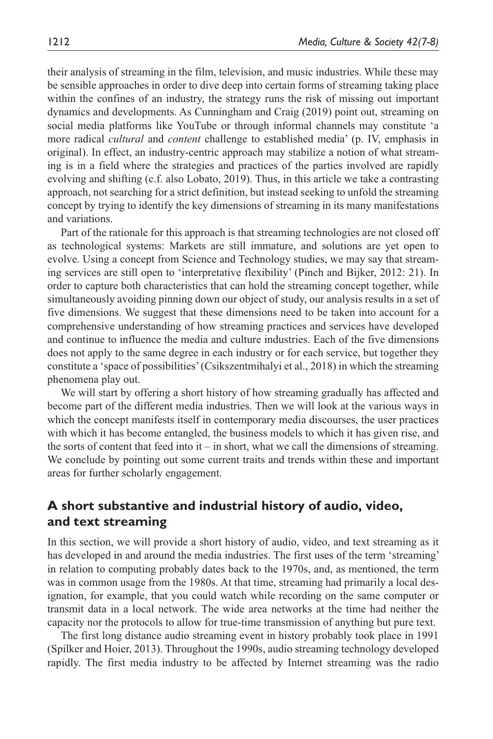their analysis of streaming in the film, television, and music industries. While these may be sensible approaches in order to dive deep into certain forms of streaming taking place within the confines of an industry, the strategy runs the risk of missing out important dynamics and developments. As Cunningham and Craig (2019) point out, streaming on social media platforms like YouTube or through informal channels may constitute 'a more radical *cultural* and *content* challenge to established media' (p. IV, emphasis in original). In effect, an industry-centric approach may stabilize a notion of what streaming is in a field where the strategies and practices of the parties involved are rapidly evolving and shifting (c.f. also Lobato, 2019). Thus, in this article we take a contrasting approach, not searching for a strict definition, but instead seeking to unfold the streaming concept by trying to identify the key dimensions of streaming in its many manifestations and variations.

Part of the rationale for this approach is that streaming technologies are not closed off as technological systems: Markets are still immature, and solutions are yet open to evolve. Using a concept from Science and Technology studies, we may say that streaming services are still open to 'interpretative flexibility' (Pinch and Bijker, 2012: 21). In order to capture both characteristics that can hold the streaming concept together, while simultaneously avoiding pinning down our object of study, our analysis results in a set of five dimensions. We suggest that these dimensions need to be taken into account for a comprehensive understanding of how streaming practices and services have developed and continue to influence the media and culture industries. Each of the five dimensions does not apply to the same degree in each industry or for each service, but together they constitute a 'space of possibilities' (Csikszentmihalyi et al., 2018) in which the streaming phenomena play out.

We will start by offering a short history of how streaming gradually has affected and become part of the different media industries. Then we will look at the various ways in which the concept manifests itself in contemporary media discourses, the user practices with which it has become entangled, the business models to which it has given rise, and the sorts of content that feed into  $it - in$  short, what we call the dimensions of streaming. We conclude by pointing out some current traits and trends within these and important areas for further scholarly engagement.

### **A short substantive and industrial history of audio, video, and text streaming**

In this section, we will provide a short history of audio, video, and text streaming as it has developed in and around the media industries. The first uses of the term 'streaming' in relation to computing probably dates back to the 1970s, and, as mentioned, the term was in common usage from the 1980s. At that time, streaming had primarily a local designation, for example, that you could watch while recording on the same computer or transmit data in a local network. The wide area networks at the time had neither the capacity nor the protocols to allow for true-time transmission of anything but pure text.

The first long distance audio streaming event in history probably took place in 1991 (Spilker and Hoier, 2013). Throughout the 1990s, audio streaming technology developed rapidly. The first media industry to be affected by Internet streaming was the radio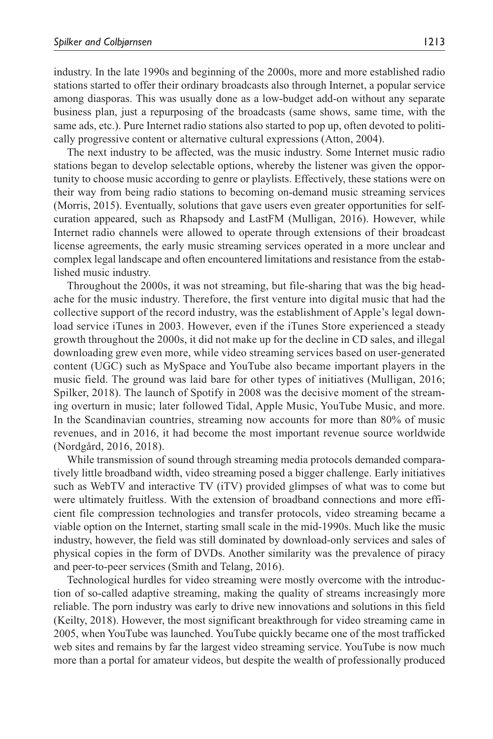industry. In the late 1990s and beginning of the 2000s, more and more established radio stations started to offer their ordinary broadcasts also through Internet, a popular service among diasporas. This was usually done as a low-budget add-on without any separate business plan, just a repurposing of the broadcasts (same shows, same time, with the same ads, etc.). Pure Internet radio stations also started to pop up, often devoted to politically progressive content or alternative cultural expressions (Atton, 2004).

The next industry to be affected, was the music industry. Some Internet music radio stations began to develop selectable options, whereby the listener was given the opportunity to choose music according to genre or playlists. Effectively, these stations were on their way from being radio stations to becoming on-demand music streaming services (Morris, 2015). Eventually, solutions that gave users even greater opportunities for selfcuration appeared, such as Rhapsody and LastFM (Mulligan, 2016). However, while Internet radio channels were allowed to operate through extensions of their broadcast license agreements, the early music streaming services operated in a more unclear and complex legal landscape and often encountered limitations and resistance from the established music industry.

Throughout the 2000s, it was not streaming, but file-sharing that was the big headache for the music industry. Therefore, the first venture into digital music that had the collective support of the record industry, was the establishment of Apple's legal download service iTunes in 2003. However, even if the iTunes Store experienced a steady growth throughout the 2000s, it did not make up for the decline in CD sales, and illegal downloading grew even more, while video streaming services based on user-generated content (UGC) such as MySpace and YouTube also became important players in the music field. The ground was laid bare for other types of initiatives (Mulligan, 2016; Spilker, 2018). The launch of Spotify in 2008 was the decisive moment of the streaming overturn in music; later followed Tidal, Apple Music, YouTube Music, and more. In the Scandinavian countries, streaming now accounts for more than 80% of music revenues, and in 2016, it had become the most important revenue source worldwide (Nordgård, 2016, 2018).

While transmission of sound through streaming media protocols demanded comparatively little broadband width, video streaming posed a bigger challenge. Early initiatives such as WebTV and interactive TV (iTV) provided glimpses of what was to come but were ultimately fruitless. With the extension of broadband connections and more efficient file compression technologies and transfer protocols, video streaming became a viable option on the Internet, starting small scale in the mid-1990s. Much like the music industry, however, the field was still dominated by download-only services and sales of physical copies in the form of DVDs. Another similarity was the prevalence of piracy and peer-to-peer services (Smith and Telang, 2016).

Technological hurdles for video streaming were mostly overcome with the introduction of so-called adaptive streaming, making the quality of streams increasingly more reliable. The porn industry was early to drive new innovations and solutions in this field (Keilty, 2018). However, the most significant breakthrough for video streaming came in 2005, when YouTube was launched. YouTube quickly became one of the most trafficked web sites and remains by far the largest video streaming service. YouTube is now much more than a portal for amateur videos, but despite the wealth of professionally produced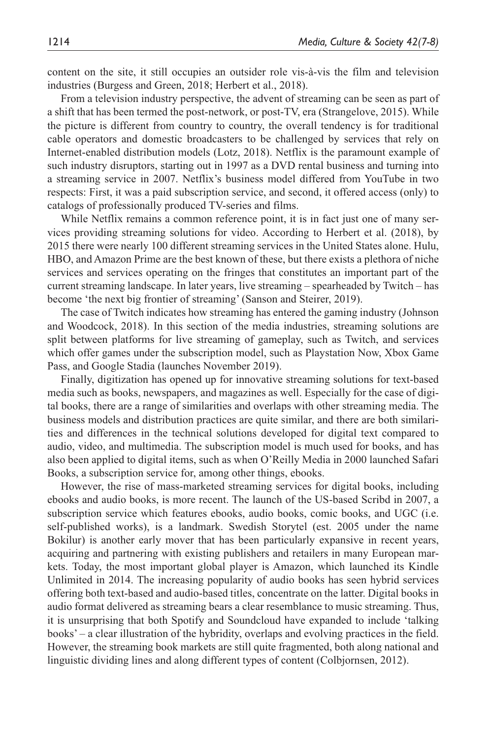content on the site, it still occupies an outsider role vis-à-vis the film and television industries (Burgess and Green, 2018; Herbert et al., 2018).

From a television industry perspective, the advent of streaming can be seen as part of a shift that has been termed the post-network, or post-TV, era (Strangelove, 2015). While the picture is different from country to country, the overall tendency is for traditional cable operators and domestic broadcasters to be challenged by services that rely on Internet-enabled distribution models (Lotz, 2018). Netflix is the paramount example of such industry disruptors, starting out in 1997 as a DVD rental business and turning into a streaming service in 2007. Netflix's business model differed from YouTube in two respects: First, it was a paid subscription service, and second, it offered access (only) to catalogs of professionally produced TV-series and films.

While Netflix remains a common reference point, it is in fact just one of many services providing streaming solutions for video. According to Herbert et al. (2018), by 2015 there were nearly 100 different streaming services in the United States alone. Hulu, HBO, and Amazon Prime are the best known of these, but there exists a plethora of niche services and services operating on the fringes that constitutes an important part of the current streaming landscape. In later years, live streaming – spearheaded by Twitch – has become 'the next big frontier of streaming' (Sanson and Steirer, 2019).

The case of Twitch indicates how streaming has entered the gaming industry (Johnson and Woodcock, 2018). In this section of the media industries, streaming solutions are split between platforms for live streaming of gameplay, such as Twitch, and services which offer games under the subscription model, such as Playstation Now, Xbox Game Pass, and Google Stadia (launches November 2019).

Finally, digitization has opened up for innovative streaming solutions for text-based media such as books, newspapers, and magazines as well. Especially for the case of digital books, there are a range of similarities and overlaps with other streaming media. The business models and distribution practices are quite similar, and there are both similarities and differences in the technical solutions developed for digital text compared to audio, video, and multimedia. The subscription model is much used for books, and has also been applied to digital items, such as when O'Reilly Media in 2000 launched Safari Books, a subscription service for, among other things, ebooks.

However, the rise of mass-marketed streaming services for digital books, including ebooks and audio books, is more recent. The launch of the US-based Scribd in 2007, a subscription service which features ebooks, audio books, comic books, and UGC (i.e. self-published works), is a landmark. Swedish Storytel (est. 2005 under the name Bokilur) is another early mover that has been particularly expansive in recent years, acquiring and partnering with existing publishers and retailers in many European markets. Today, the most important global player is Amazon, which launched its Kindle Unlimited in 2014. The increasing popularity of audio books has seen hybrid services offering both text-based and audio-based titles, concentrate on the latter. Digital books in audio format delivered as streaming bears a clear resemblance to music streaming. Thus, it is unsurprising that both Spotify and Soundcloud have expanded to include 'talking books' – a clear illustration of the hybridity, overlaps and evolving practices in the field. However, the streaming book markets are still quite fragmented, both along national and linguistic dividing lines and along different types of content (Colbjornsen, 2012).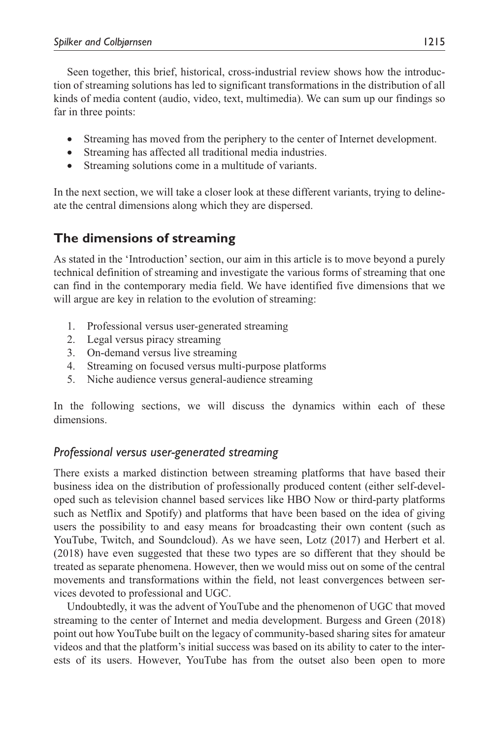Seen together, this brief, historical, cross-industrial review shows how the introduction of streaming solutions has led to significant transformations in the distribution of all kinds of media content (audio, video, text, multimedia). We can sum up our findings so far in three points:

- Streaming has moved from the periphery to the center of Internet development.
- Streaming has affected all traditional media industries.
- Streaming solutions come in a multitude of variants.

In the next section, we will take a closer look at these different variants, trying to delineate the central dimensions along which they are dispersed.

## **The dimensions of streaming**

As stated in the 'Introduction' section, our aim in this article is to move beyond a purely technical definition of streaming and investigate the various forms of streaming that one can find in the contemporary media field. We have identified five dimensions that we will argue are key in relation to the evolution of streaming:

- 1. Professional versus user-generated streaming
- 2. Legal versus piracy streaming
- 3. On-demand versus live streaming
- 4. Streaming on focused versus multi-purpose platforms
- 5. Niche audience versus general-audience streaming

In the following sections, we will discuss the dynamics within each of these dimensions.

### *Professional versus user-generated streaming*

There exists a marked distinction between streaming platforms that have based their business idea on the distribution of professionally produced content (either self-developed such as television channel based services like HBO Now or third-party platforms such as Netflix and Spotify) and platforms that have been based on the idea of giving users the possibility to and easy means for broadcasting their own content (such as YouTube, Twitch, and Soundcloud). As we have seen, Lotz (2017) and Herbert et al. (2018) have even suggested that these two types are so different that they should be treated as separate phenomena. However, then we would miss out on some of the central movements and transformations within the field, not least convergences between services devoted to professional and UGC.

Undoubtedly, it was the advent of YouTube and the phenomenon of UGC that moved streaming to the center of Internet and media development. Burgess and Green (2018) point out how YouTube built on the legacy of community-based sharing sites for amateur videos and that the platform's initial success was based on its ability to cater to the interests of its users. However, YouTube has from the outset also been open to more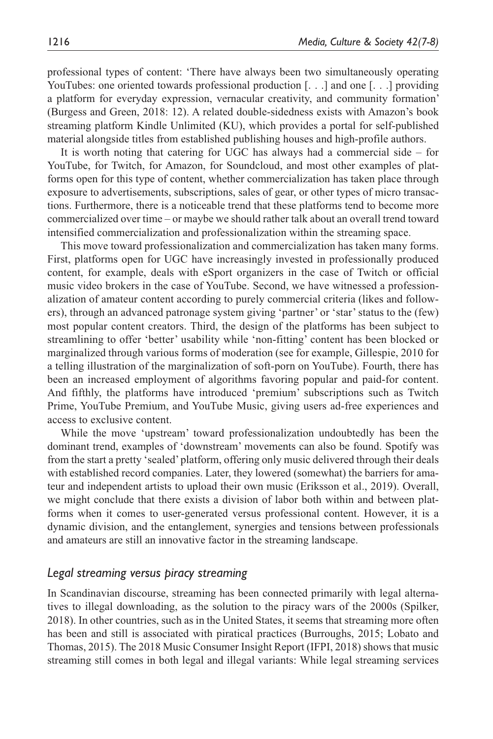professional types of content: 'There have always been two simultaneously operating YouTubes: one oriented towards professional production [...] and one [...] providing a platform for everyday expression, vernacular creativity, and community formation' (Burgess and Green, 2018: 12). A related double-sidedness exists with Amazon's book streaming platform Kindle Unlimited (KU), which provides a portal for self-published material alongside titles from established publishing houses and high-profile authors.

It is worth noting that catering for UGC has always had a commercial side – for YouTube, for Twitch, for Amazon, for Soundcloud, and most other examples of platforms open for this type of content, whether commercialization has taken place through exposure to advertisements, subscriptions, sales of gear, or other types of micro transactions. Furthermore, there is a noticeable trend that these platforms tend to become more commercialized over time – or maybe we should rather talk about an overall trend toward intensified commercialization and professionalization within the streaming space.

This move toward professionalization and commercialization has taken many forms. First, platforms open for UGC have increasingly invested in professionally produced content, for example, deals with eSport organizers in the case of Twitch or official music video brokers in the case of YouTube. Second, we have witnessed a professionalization of amateur content according to purely commercial criteria (likes and followers), through an advanced patronage system giving 'partner' or 'star' status to the (few) most popular content creators. Third, the design of the platforms has been subject to streamlining to offer 'better' usability while 'non-fitting' content has been blocked or marginalized through various forms of moderation (see for example, Gillespie, 2010 for a telling illustration of the marginalization of soft-porn on YouTube). Fourth, there has been an increased employment of algorithms favoring popular and paid-for content. And fifthly, the platforms have introduced 'premium' subscriptions such as Twitch Prime, YouTube Premium, and YouTube Music, giving users ad-free experiences and access to exclusive content.

While the move 'upstream' toward professionalization undoubtedly has been the dominant trend, examples of 'downstream' movements can also be found. Spotify was from the start a pretty 'sealed' platform, offering only music delivered through their deals with established record companies. Later, they lowered (somewhat) the barriers for amateur and independent artists to upload their own music (Eriksson et al., 2019). Overall, we might conclude that there exists a division of labor both within and between platforms when it comes to user-generated versus professional content. However, it is a dynamic division, and the entanglement, synergies and tensions between professionals and amateurs are still an innovative factor in the streaming landscape.

#### *Legal streaming versus piracy streaming*

In Scandinavian discourse, streaming has been connected primarily with legal alternatives to illegal downloading, as the solution to the piracy wars of the 2000s (Spilker, 2018). In other countries, such as in the United States, it seems that streaming more often has been and still is associated with piratical practices (Burroughs, 2015; Lobato and Thomas, 2015). The 2018 Music Consumer Insight Report (IFPI, 2018) shows that music streaming still comes in both legal and illegal variants: While legal streaming services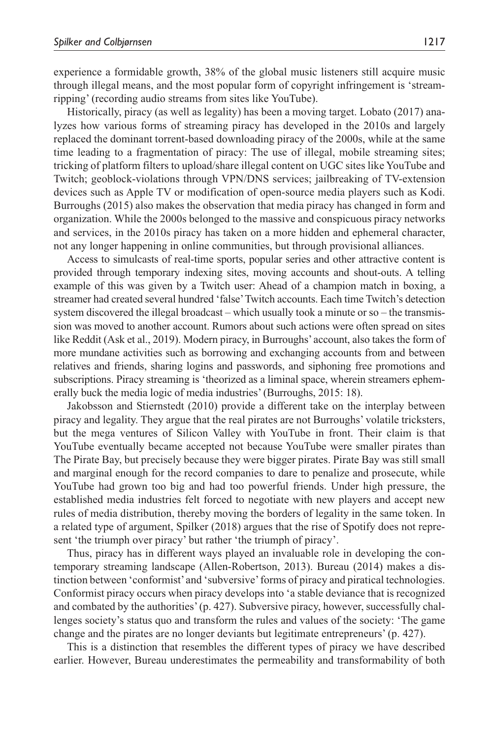experience a formidable growth, 38% of the global music listeners still acquire music through illegal means, and the most popular form of copyright infringement is 'streamripping' (recording audio streams from sites like YouTube).

Historically, piracy (as well as legality) has been a moving target. Lobato (2017) analyzes how various forms of streaming piracy has developed in the 2010s and largely replaced the dominant torrent-based downloading piracy of the 2000s, while at the same time leading to a fragmentation of piracy: The use of illegal, mobile streaming sites; tricking of platform filters to upload/share illegal content on UGC sites like YouTube and Twitch; geoblock-violations through VPN/DNS services; jailbreaking of TV-extension devices such as Apple TV or modification of open-source media players such as Kodi. Burroughs (2015) also makes the observation that media piracy has changed in form and organization. While the 2000s belonged to the massive and conspicuous piracy networks and services, in the 2010s piracy has taken on a more hidden and ephemeral character, not any longer happening in online communities, but through provisional alliances.

Access to simulcasts of real-time sports, popular series and other attractive content is provided through temporary indexing sites, moving accounts and shout-outs. A telling example of this was given by a Twitch user: Ahead of a champion match in boxing, a streamer had created several hundred 'false' Twitch accounts. Each time Twitch's detection system discovered the illegal broadcast – which usually took a minute or so – the transmission was moved to another account. Rumors about such actions were often spread on sites like Reddit (Ask et al., 2019). Modern piracy, in Burroughs' account, also takes the form of more mundane activities such as borrowing and exchanging accounts from and between relatives and friends, sharing logins and passwords, and siphoning free promotions and subscriptions. Piracy streaming is 'theorized as a liminal space, wherein streamers ephemerally buck the media logic of media industries' (Burroughs, 2015: 18).

Jakobsson and Stiernstedt (2010) provide a different take on the interplay between piracy and legality. They argue that the real pirates are not Burroughs' volatile tricksters, but the mega ventures of Silicon Valley with YouTube in front. Their claim is that YouTube eventually became accepted not because YouTube were smaller pirates than The Pirate Bay, but precisely because they were bigger pirates. Pirate Bay was still small and marginal enough for the record companies to dare to penalize and prosecute, while YouTube had grown too big and had too powerful friends. Under high pressure, the established media industries felt forced to negotiate with new players and accept new rules of media distribution, thereby moving the borders of legality in the same token. In a related type of argument, Spilker (2018) argues that the rise of Spotify does not represent 'the triumph over piracy' but rather 'the triumph of piracy'.

Thus, piracy has in different ways played an invaluable role in developing the contemporary streaming landscape (Allen-Robertson, 2013). Bureau (2014) makes a distinction between 'conformist' and 'subversive' forms of piracy and piratical technologies. Conformist piracy occurs when piracy develops into 'a stable deviance that is recognized and combated by the authorities' (p. 427). Subversive piracy, however, successfully challenges society's status quo and transform the rules and values of the society: 'The game change and the pirates are no longer deviants but legitimate entrepreneurs' (p. 427).

This is a distinction that resembles the different types of piracy we have described earlier. However, Bureau underestimates the permeability and transformability of both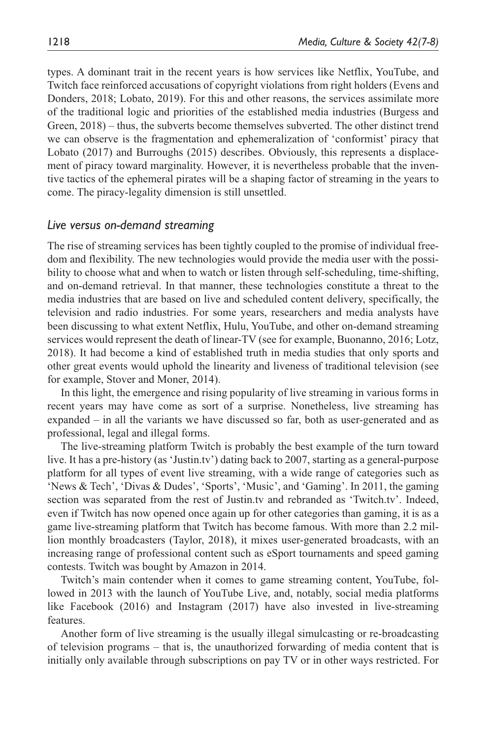types. A dominant trait in the recent years is how services like Netflix, YouTube, and Twitch face reinforced accusations of copyright violations from right holders (Evens and Donders, 2018; Lobato, 2019). For this and other reasons, the services assimilate more of the traditional logic and priorities of the established media industries (Burgess and Green, 2018) – thus, the subverts become themselves subverted. The other distinct trend we can observe is the fragmentation and ephemeralization of 'conformist' piracy that Lobato (2017) and Burroughs (2015) describes. Obviously, this represents a displacement of piracy toward marginality. However, it is nevertheless probable that the inventive tactics of the ephemeral pirates will be a shaping factor of streaming in the years to come. The piracy-legality dimension is still unsettled.

#### *Live versus on-demand streaming*

The rise of streaming services has been tightly coupled to the promise of individual freedom and flexibility. The new technologies would provide the media user with the possibility to choose what and when to watch or listen through self-scheduling, time-shifting, and on-demand retrieval. In that manner, these technologies constitute a threat to the media industries that are based on live and scheduled content delivery, specifically, the television and radio industries. For some years, researchers and media analysts have been discussing to what extent Netflix, Hulu, YouTube, and other on-demand streaming services would represent the death of linear-TV (see for example, Buonanno, 2016; Lotz, 2018). It had become a kind of established truth in media studies that only sports and other great events would uphold the linearity and liveness of traditional television (see for example, Stover and Moner, 2014).

In this light, the emergence and rising popularity of live streaming in various forms in recent years may have come as sort of a surprise. Nonetheless, live streaming has expanded – in all the variants we have discussed so far, both as user-generated and as professional, legal and illegal forms.

The live-streaming platform Twitch is probably the best example of the turn toward live. It has a pre-history (as 'Justin.tv') dating back to 2007, starting as a general-purpose platform for all types of event live streaming, with a wide range of categories such as 'News & Tech', 'Divas & Dudes', 'Sports', 'Music', and 'Gaming'. In 2011, the gaming section was separated from the rest of Justin.tv and rebranded as 'Twitch.tv'. Indeed, even if Twitch has now opened once again up for other categories than gaming, it is as a game live-streaming platform that Twitch has become famous. With more than 2.2 million monthly broadcasters (Taylor, 2018), it mixes user-generated broadcasts, with an increasing range of professional content such as eSport tournaments and speed gaming contests. Twitch was bought by Amazon in 2014.

Twitch's main contender when it comes to game streaming content, YouTube, followed in 2013 with the launch of YouTube Live, and, notably, social media platforms like Facebook (2016) and Instagram (2017) have also invested in live-streaming features.

Another form of live streaming is the usually illegal simulcasting or re-broadcasting of television programs – that is, the unauthorized forwarding of media content that is initially only available through subscriptions on pay TV or in other ways restricted. For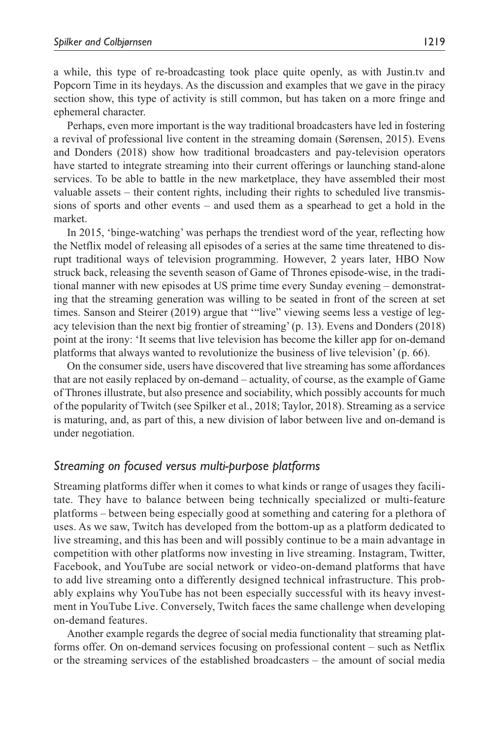a while, this type of re-broadcasting took place quite openly, as with Justin.tv and Popcorn Time in its heydays. As the discussion and examples that we gave in the piracy section show, this type of activity is still common, but has taken on a more fringe and ephemeral character.

Perhaps, even more important is the way traditional broadcasters have led in fostering a revival of professional live content in the streaming domain (Sørensen, 2015). Evens and Donders (2018) show how traditional broadcasters and pay-television operators have started to integrate streaming into their current offerings or launching stand-alone services. To be able to battle in the new marketplace, they have assembled their most valuable assets – their content rights, including their rights to scheduled live transmissions of sports and other events – and used them as a spearhead to get a hold in the market.

In 2015, 'binge-watching' was perhaps the trendiest word of the year, reflecting how the Netflix model of releasing all episodes of a series at the same time threatened to disrupt traditional ways of television programming. However, 2 years later, HBO Now struck back, releasing the seventh season of Game of Thrones episode-wise, in the traditional manner with new episodes at US prime time every Sunday evening – demonstrating that the streaming generation was willing to be seated in front of the screen at set times. Sanson and Steirer (2019) argue that '"live" viewing seems less a vestige of legacy television than the next big frontier of streaming' (p. 13). Evens and Donders (2018) point at the irony: 'It seems that live television has become the killer app for on-demand platforms that always wanted to revolutionize the business of live television' (p. 66).

On the consumer side, users have discovered that live streaming has some affordances that are not easily replaced by on-demand – actuality, of course, as the example of Game of Thrones illustrate, but also presence and sociability, which possibly accounts for much of the popularity of Twitch (see Spilker et al., 2018; Taylor, 2018). Streaming as a service is maturing, and, as part of this, a new division of labor between live and on-demand is under negotiation.

### *Streaming on focused versus multi-purpose platforms*

Streaming platforms differ when it comes to what kinds or range of usages they facilitate. They have to balance between being technically specialized or multi-feature platforms – between being especially good at something and catering for a plethora of uses. As we saw, Twitch has developed from the bottom-up as a platform dedicated to live streaming, and this has been and will possibly continue to be a main advantage in competition with other platforms now investing in live streaming. Instagram, Twitter, Facebook, and YouTube are social network or video-on-demand platforms that have to add live streaming onto a differently designed technical infrastructure. This probably explains why YouTube has not been especially successful with its heavy investment in YouTube Live. Conversely, Twitch faces the same challenge when developing on-demand features.

Another example regards the degree of social media functionality that streaming platforms offer. On on-demand services focusing on professional content – such as Netflix or the streaming services of the established broadcasters – the amount of social media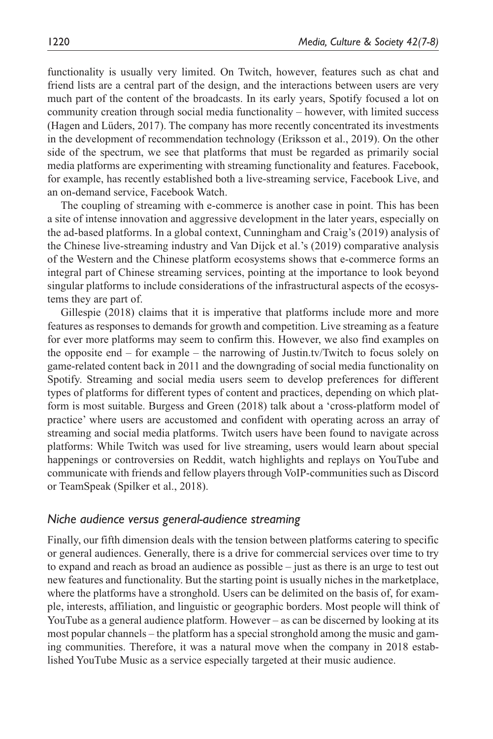functionality is usually very limited. On Twitch, however, features such as chat and friend lists are a central part of the design, and the interactions between users are very much part of the content of the broadcasts. In its early years, Spotify focused a lot on community creation through social media functionality – however, with limited success (Hagen and Lüders, 2017). The company has more recently concentrated its investments in the development of recommendation technology (Eriksson et al., 2019). On the other side of the spectrum, we see that platforms that must be regarded as primarily social media platforms are experimenting with streaming functionality and features. Facebook, for example, has recently established both a live-streaming service, Facebook Live, and an on-demand service, Facebook Watch.

The coupling of streaming with e-commerce is another case in point. This has been a site of intense innovation and aggressive development in the later years, especially on the ad-based platforms. In a global context, Cunningham and Craig's (2019) analysis of the Chinese live-streaming industry and Van Dijck et al.'s (2019) comparative analysis of the Western and the Chinese platform ecosystems shows that e-commerce forms an integral part of Chinese streaming services, pointing at the importance to look beyond singular platforms to include considerations of the infrastructural aspects of the ecosystems they are part of.

Gillespie (2018) claims that it is imperative that platforms include more and more features as responses to demands for growth and competition. Live streaming as a feature for ever more platforms may seem to confirm this. However, we also find examples on the opposite end – for example – the narrowing of Justin.tv/Twitch to focus solely on game-related content back in 2011 and the downgrading of social media functionality on Spotify. Streaming and social media users seem to develop preferences for different types of platforms for different types of content and practices, depending on which platform is most suitable. Burgess and Green (2018) talk about a 'cross-platform model of practice' where users are accustomed and confident with operating across an array of streaming and social media platforms. Twitch users have been found to navigate across platforms: While Twitch was used for live streaming, users would learn about special happenings or controversies on Reddit, watch highlights and replays on YouTube and communicate with friends and fellow players through VoIP-communities such as Discord or TeamSpeak (Spilker et al., 2018).

#### *Niche audience versus general-audience streaming*

Finally, our fifth dimension deals with the tension between platforms catering to specific or general audiences. Generally, there is a drive for commercial services over time to try to expand and reach as broad an audience as possible – just as there is an urge to test out new features and functionality. But the starting point is usually niches in the marketplace, where the platforms have a stronghold. Users can be delimited on the basis of, for example, interests, affiliation, and linguistic or geographic borders. Most people will think of YouTube as a general audience platform. However – as can be discerned by looking at its most popular channels – the platform has a special stronghold among the music and gaming communities. Therefore, it was a natural move when the company in 2018 established YouTube Music as a service especially targeted at their music audience.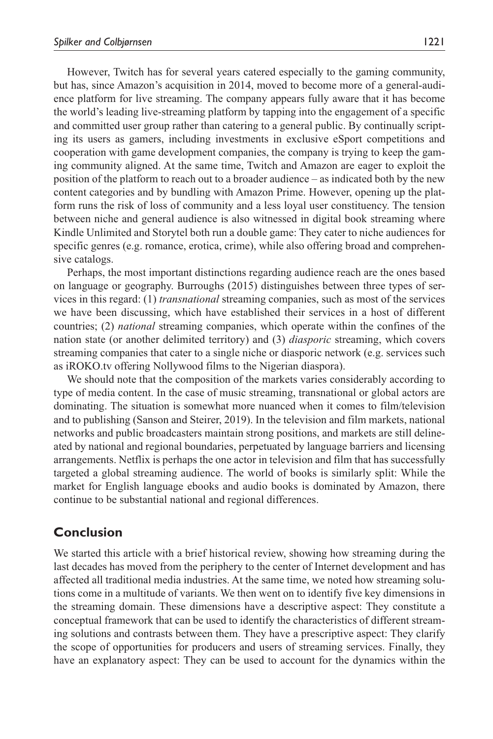However, Twitch has for several years catered especially to the gaming community, but has, since Amazon's acquisition in 2014, moved to become more of a general-audience platform for live streaming. The company appears fully aware that it has become the world's leading live-streaming platform by tapping into the engagement of a specific and committed user group rather than catering to a general public. By continually scripting its users as gamers, including investments in exclusive eSport competitions and cooperation with game development companies, the company is trying to keep the gaming community aligned. At the same time, Twitch and Amazon are eager to exploit the position of the platform to reach out to a broader audience – as indicated both by the new content categories and by bundling with Amazon Prime. However, opening up the platform runs the risk of loss of community and a less loyal user constituency. The tension between niche and general audience is also witnessed in digital book streaming where Kindle Unlimited and Storytel both run a double game: They cater to niche audiences for specific genres (e.g. romance, erotica, crime), while also offering broad and comprehensive catalogs.

Perhaps, the most important distinctions regarding audience reach are the ones based on language or geography. Burroughs (2015) distinguishes between three types of services in this regard: (1) *transnational* streaming companies, such as most of the services we have been discussing, which have established their services in a host of different countries; (2) *national* streaming companies, which operate within the confines of the nation state (or another delimited territory) and (3) *diasporic* streaming, which covers streaming companies that cater to a single niche or diasporic network (e.g. services such as iROKO.tv offering Nollywood films to the Nigerian diaspora).

We should note that the composition of the markets varies considerably according to type of media content. In the case of music streaming, transnational or global actors are dominating. The situation is somewhat more nuanced when it comes to film/television and to publishing (Sanson and Steirer, 2019). In the television and film markets, national networks and public broadcasters maintain strong positions, and markets are still delineated by national and regional boundaries, perpetuated by language barriers and licensing arrangements. Netflix is perhaps the one actor in television and film that has successfully targeted a global streaming audience. The world of books is similarly split: While the market for English language ebooks and audio books is dominated by Amazon, there continue to be substantial national and regional differences.

### **Conclusion**

We started this article with a brief historical review, showing how streaming during the last decades has moved from the periphery to the center of Internet development and has affected all traditional media industries. At the same time, we noted how streaming solutions come in a multitude of variants. We then went on to identify five key dimensions in the streaming domain. These dimensions have a descriptive aspect: They constitute a conceptual framework that can be used to identify the characteristics of different streaming solutions and contrasts between them. They have a prescriptive aspect: They clarify the scope of opportunities for producers and users of streaming services. Finally, they have an explanatory aspect: They can be used to account for the dynamics within the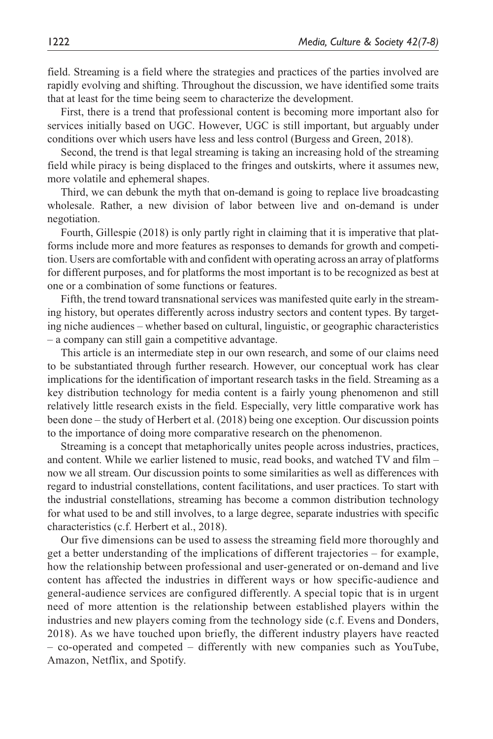field. Streaming is a field where the strategies and practices of the parties involved are rapidly evolving and shifting. Throughout the discussion, we have identified some traits that at least for the time being seem to characterize the development.

First, there is a trend that professional content is becoming more important also for services initially based on UGC. However, UGC is still important, but arguably under conditions over which users have less and less control (Burgess and Green, 2018).

Second, the trend is that legal streaming is taking an increasing hold of the streaming field while piracy is being displaced to the fringes and outskirts, where it assumes new, more volatile and ephemeral shapes.

Third, we can debunk the myth that on-demand is going to replace live broadcasting wholesale. Rather, a new division of labor between live and on-demand is under negotiation.

Fourth, Gillespie (2018) is only partly right in claiming that it is imperative that platforms include more and more features as responses to demands for growth and competition. Users are comfortable with and confident with operating across an array of platforms for different purposes, and for platforms the most important is to be recognized as best at one or a combination of some functions or features.

Fifth, the trend toward transnational services was manifested quite early in the streaming history, but operates differently across industry sectors and content types. By targeting niche audiences – whether based on cultural, linguistic, or geographic characteristics – a company can still gain a competitive advantage.

This article is an intermediate step in our own research, and some of our claims need to be substantiated through further research. However, our conceptual work has clear implications for the identification of important research tasks in the field. Streaming as a key distribution technology for media content is a fairly young phenomenon and still relatively little research exists in the field. Especially, very little comparative work has been done – the study of Herbert et al. (2018) being one exception. Our discussion points to the importance of doing more comparative research on the phenomenon.

Streaming is a concept that metaphorically unites people across industries, practices, and content. While we earlier listened to music, read books, and watched TV and film – now we all stream. Our discussion points to some similarities as well as differences with regard to industrial constellations, content facilitations, and user practices. To start with the industrial constellations, streaming has become a common distribution technology for what used to be and still involves, to a large degree, separate industries with specific characteristics (c.f. Herbert et al., 2018).

Our five dimensions can be used to assess the streaming field more thoroughly and get a better understanding of the implications of different trajectories – for example, how the relationship between professional and user-generated or on-demand and live content has affected the industries in different ways or how specific-audience and general-audience services are configured differently. A special topic that is in urgent need of more attention is the relationship between established players within the industries and new players coming from the technology side (c.f. Evens and Donders, 2018). As we have touched upon briefly, the different industry players have reacted – co-operated and competed – differently with new companies such as YouTube, Amazon, Netflix, and Spotify.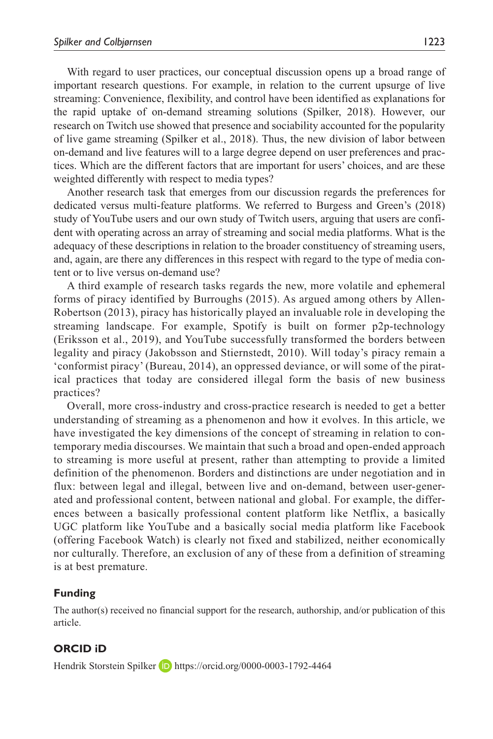With regard to user practices, our conceptual discussion opens up a broad range of important research questions. For example, in relation to the current upsurge of live streaming: Convenience, flexibility, and control have been identified as explanations for the rapid uptake of on-demand streaming solutions (Spilker, 2018). However, our research on Twitch use showed that presence and sociability accounted for the popularity of live game streaming (Spilker et al., 2018). Thus, the new division of labor between on-demand and live features will to a large degree depend on user preferences and practices. Which are the different factors that are important for users' choices, and are these weighted differently with respect to media types?

Another research task that emerges from our discussion regards the preferences for dedicated versus multi-feature platforms. We referred to Burgess and Green's (2018) study of YouTube users and our own study of Twitch users, arguing that users are confident with operating across an array of streaming and social media platforms. What is the adequacy of these descriptions in relation to the broader constituency of streaming users, and, again, are there any differences in this respect with regard to the type of media content or to live versus on-demand use?

A third example of research tasks regards the new, more volatile and ephemeral forms of piracy identified by Burroughs (2015). As argued among others by Allen-Robertson (2013), piracy has historically played an invaluable role in developing the streaming landscape. For example, Spotify is built on former p2p-technology (Eriksson et al., 2019), and YouTube successfully transformed the borders between legality and piracy (Jakobsson and Stiernstedt, 2010). Will today's piracy remain a 'conformist piracy' (Bureau, 2014), an oppressed deviance, or will some of the piratical practices that today are considered illegal form the basis of new business practices?

Overall, more cross-industry and cross-practice research is needed to get a better understanding of streaming as a phenomenon and how it evolves. In this article, we have investigated the key dimensions of the concept of streaming in relation to contemporary media discourses. We maintain that such a broad and open-ended approach to streaming is more useful at present, rather than attempting to provide a limited definition of the phenomenon. Borders and distinctions are under negotiation and in flux: between legal and illegal, between live and on-demand, between user-generated and professional content, between national and global. For example, the differences between a basically professional content platform like Netflix, a basically UGC platform like YouTube and a basically social media platform like Facebook (offering Facebook Watch) is clearly not fixed and stabilized, neither economically nor culturally. Therefore, an exclusion of any of these from a definition of streaming is at best premature.

### **Funding**

The author(s) received no financial support for the research, authorship, and/or publication of this article.

### **ORCID iD**

Hendrik Storstein Spilker **D** <https://orcid.org/0000-0003-1792-4464>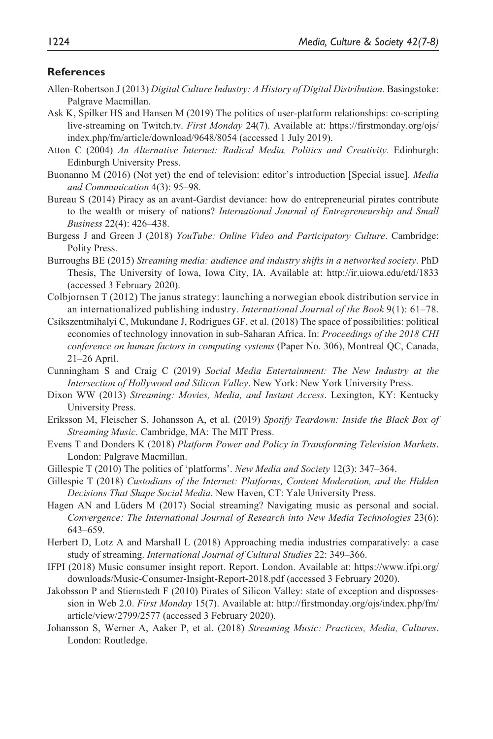#### **References**

- Allen-Robertson J (2013) *Digital Culture Industry: A History of Digital Distribution*. Basingstoke: Palgrave Macmillan.
- Ask K, Spilker HS and Hansen M (2019) The politics of user-platform relationships: co-scripting live-streaming on Twitch.tv. *First Monday* 24(7). Available at: [https://firstmonday.org/ojs/](https://firstmonday.org/ojs/index.php/fm/article/download/9648/8054) [index.php/fm/article/download/9648/8054](https://firstmonday.org/ojs/index.php/fm/article/download/9648/8054) (accessed 1 July 2019).
- Atton C (2004) *An Alternative Internet: Radical Media, Politics and Creativity*. Edinburgh: Edinburgh University Press.
- Buonanno M (2016) (Not yet) the end of television: editor's introduction [Special issue]. *Media and Communication* 4(3): 95–98.
- Bureau S (2014) Piracy as an avant-Gardist deviance: how do entrepreneurial pirates contribute to the wealth or misery of nations? *International Journal of Entrepreneurship and Small Business* 22(4): 426–438.
- Burgess J and Green J (2018) *YouTube: Online Video and Participatory Culture*. Cambridge: Polity Press.
- Burroughs BE (2015) *Streaming media: audience and industry shifts in a networked society*. PhD Thesis, The University of Iowa, Iowa City, IA. Available at: <http://ir.uiowa.edu/etd/1833> (accessed 3 February 2020).
- Colbjornsen T (2012) The janus strategy: launching a norwegian ebook distribution service in an internationalized publishing industry. *International Journal of the Book* 9(1): 61–78.
- Csikszentmihalyi C, Mukundane J, Rodrigues GF, et al. (2018) The space of possibilities: political economies of technology innovation in sub-Saharan Africa. In: *Proceedings of the 2018 CHI conference on human factors in computing systems* (Paper No. 306), Montreal QC, Canada, 21–26 April.
- Cunningham S and Craig C (2019) *Social Media Entertainment: The New Industry at the Intersection of Hollywood and Silicon Valley*. New York: New York University Press.
- Dixon WW (2013) *Streaming: Movies, Media, and Instant Access*. Lexington, KY: Kentucky University Press.
- Eriksson M, Fleischer S, Johansson A, et al. (2019) *Spotify Teardown: Inside the Black Box of Streaming Music*. Cambridge, MA: The MIT Press.
- Evens T and Donders K (2018) *Platform Power and Policy in Transforming Television Markets*. London: Palgrave Macmillan.
- Gillespie T (2010) The politics of 'platforms'. *New Media and Society* 12(3): 347–364.
- Gillespie T (2018) *Custodians of the Internet: Platforms, Content Moderation, and the Hidden Decisions That Shape Social Media*. New Haven, CT: Yale University Press.
- Hagen AN and Lüders M (2017) Social streaming? Navigating music as personal and social. *Convergence: The International Journal of Research into New Media Technologies* 23(6): 643–659.
- Herbert D, Lotz A and Marshall L (2018) Approaching media industries comparatively: a case study of streaming. *International Journal of Cultural Studies* 22: 349–366.
- IFPI (2018) Music consumer insight report. Report. London. Available at: [https://www.ifpi.org/](https://www.ifpi.org/downloads/Music-Consumer-Insight-Report-2018.pdf) [downloads/Music-Consumer-Insight-Report-2018.pdf](https://www.ifpi.org/downloads/Music-Consumer-Insight-Report-2018.pdf) (accessed 3 February 2020).
- Jakobsson P and Stiernstedt F (2010) Pirates of Silicon Valley: state of exception and dispossession in Web 2.0. *First Monday* 15(7). Available at: [http://firstmonday.org/ojs/index.php/fm/](http://firstmonday.org/ojs/index.php/fm/article/view/2799/2577) [article/view/2799/2577](http://firstmonday.org/ojs/index.php/fm/article/view/2799/2577) (accessed 3 February 2020).
- Johansson S, Werner A, Aaker P, et al. (2018) *Streaming Music: Practices, Media, Cultures*. London: Routledge.